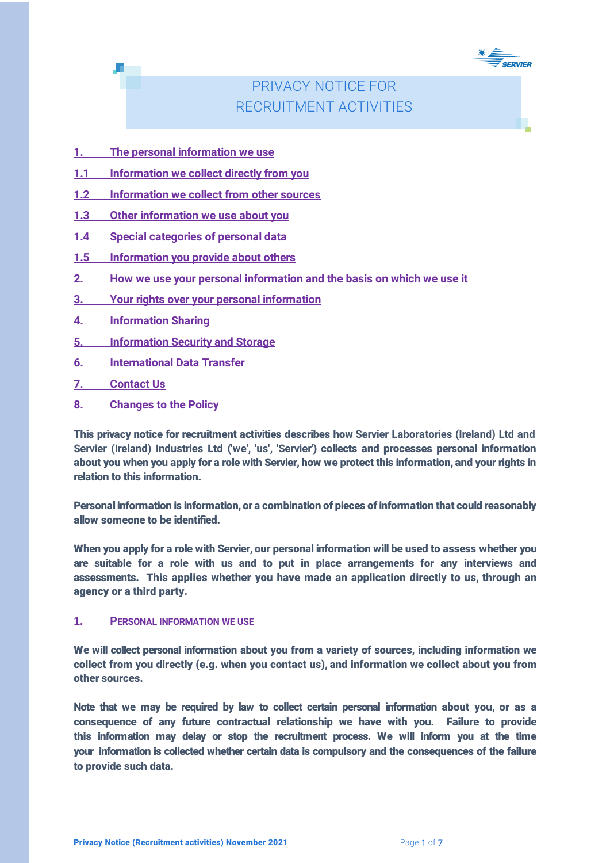

# PRIVACY NOTICE FOR RECRUITMENT ACTIVITIES

- **1. The personal information we use**
- **1.1 Information we collect directly from you**
- **1.2 Information we collect from other sources**
- **1.3 Other information we use about you**
- **1.4 Special categories of personal data**
- **1.5 Information you provide about others**
- **2. How we use your personal information and the basis on which we use it**
- **3. Your rights over your personal information**
- **4. Information Sharing**
- **5. Information Security and Storage**
- **6. International Data Transfer**
- **7. Contact Us**
- **8. Changes to the Policy**

This privacy notice for recruitment activities describes how **Servier Laboratories (Ireland) Ltd and Servier (Ireland) Industries Ltd** (**'we', 'us', 'Servier'**) collects and processes personal information about you when you apply for a role with Servier, how we protect this information, and your rights in relation to this information.

Personal information is information, or a combination of pieces of information that could reasonably allow someone to be identified.

When you apply for a role with Servier, our personal information will be used to assess whether you are suitable for a role with us and to put in place arrangements for any interviews and assessments. This applies whether you have made an application direct**ly** to us, through an agency or a third party.

#### **1. PERSONAL INFORMATION WE USE**

We will collect personal information about you from a variety of sources, including information we collect from you directly (e.g. when you contact us), and information we collect about you from other sources.

Note that we may be required by law to collect certain personal information about you, or as a consequence of any future contractual relationship we have with you. Failure to provide this information may delay or stop the recruitment process. We will inform you at the time your information is collected whether certain data is compulsory and the consequences of the failure to provide such data.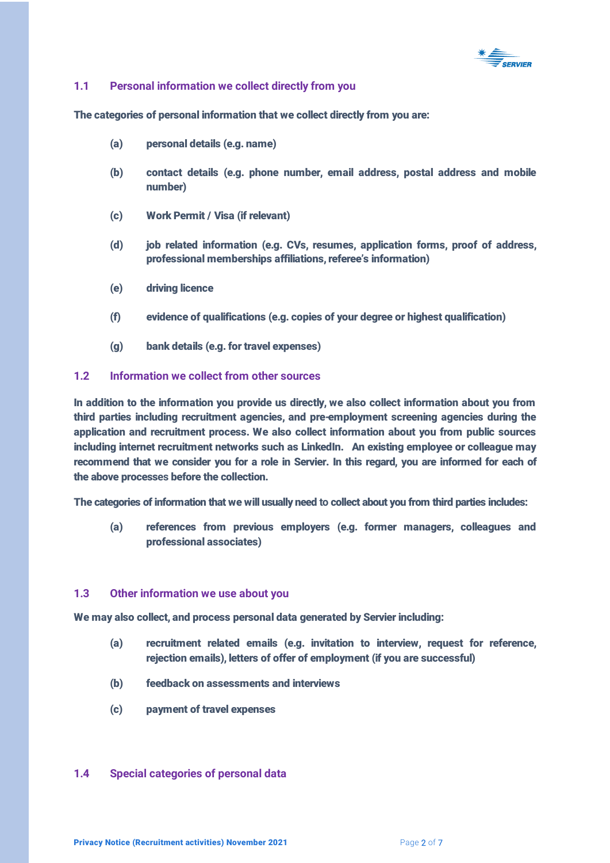

## **1.1 Personal information we collect directly from you**

The categories of personal information that we collect directly from you are:

- (a) personal details (e.g. name)
- (b) contact details (e.g. phone number, email address, postal address and mobile number)
- (c) Work Permit / Visa (if relevant)
- (d) job related information (e.g. CVs, resumes, application forms, proof of address, professional memberships affiliations, referee's information)
- (e) driving licence
- (f) evidence of qualifications (e.g. copies of your degree or highest qualification)
- (g) bank details (e.g. for travel expenses)

## **1.2 Information we collect from other sources**

In addition to the information you provide us directly, we also collect information about you from third parties including recruitment agencies, and pre-employment screening agencies during the application and recruitment process. We also collect information about you from public sources including internet recruitment networks such as LinkedIn. An existing employee or colleague may recommend that we consider you for a role in Servier. In this regard, you are informed for each of the above process**es** before the collection.

The categories of information that we will usually need **to** collect about you from third parties includes:

(a) references from previous employers (e.g. former managers, colleagues and professional associates)

#### **1.3 Other information we use about you**

We may also collect, and process personal data generated by Servier including:

- (a) recruitment related emails (e.g. invitation to interview, request for reference, rejection emails), letters of offer of employment (if you are successful)
- (b) feedback on assessments and interviews
- (c) payment of travel expenses

#### **1.4 Special categories of personal data**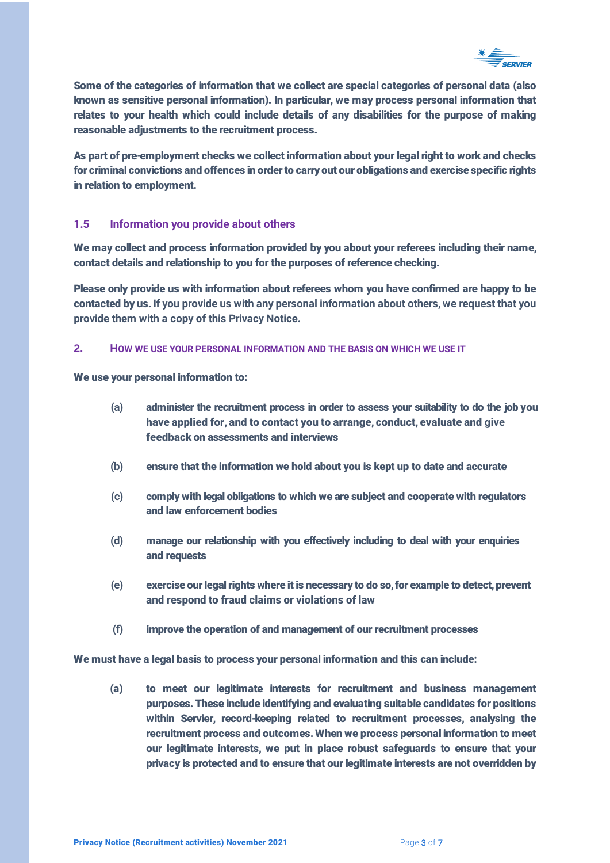

Some of the categories of information that we collect are special categories of personal data (also known as sensitive personal information). In particular, we may process personal information that relates to your health which could include details of any disabilities for the purpose of making reasonable adjustments to the recruitment process.

As part of pre-employment checks we collect information about your legal right to work and checks for criminal convictions and offences in order to carry out our obligations and exercise specific rights in relation to employment.

## **1.5 Information you provide about others**

We may collect and process information provided by you about your referees including their name, contact details and relationship to you for the purposes of reference checking.

Please only provide us with information about referees whom you have confirmed are happy to be contacted by us. **If you provide us with any personal information about others, we request that you provide them with a copy of this Privacy Notice.**

#### **2. HOW WE USE YOUR PERSONAL INFORMATION AND THE BASIS ON WHICH WE USE IT**

We use your personal information to:

- **(a)** administer the recruitment process in order to assess your suitability to do the job you have applied for, and to contact you to arrange, conduct, evaluate and **give**  feedback on assessments and interviews
- **(b)** ensure that the information we hold about you is kept up to date and accurate
- **(c)** comply with legal obligations to which we are subject and cooperate with regulators and law enforcement bodies
- **(d)** manage our relationship with you effectively including to deal with your enquiries and requests
- (e) exercise our legal rights where it is necessary to do so, for example to detect, prevent and respond to fraud claims or violations of law
- **(f)** improve the operation of and management of our recruitment processes

We must have a legal basis to process your personal information and this can include:

(a) to meet our legitimate interests for recruitment and business management purposes. These include identifying and evaluating suitable candidates for positions within Servier, record-keeping related to recruitment processes, analysing the recruitment process and outcomes. When we process personal information to meet our legitimate interests, we put in place robust safeguards to ensure that your privacy is protected and to ensure that our legitimate interests are not overridden by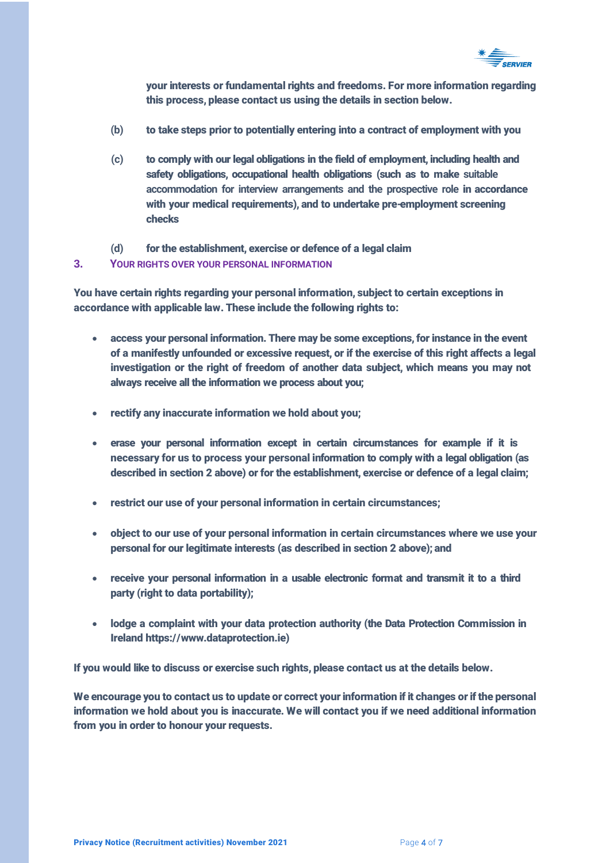

your interests or fundamental rights and freedoms. For more information regarding this process, please contact us using the details in section below.

- **(b)** to take steps prior to potentially entering into a contract of employment with you
- **(c)** to comply with our legal obligations in the field of employment, including health and safety obligations, occupational health obligations (such as to make **suitable accommodation for interview arrangements and the prospective role** in accordance with your medical requirements), and to undertake pre-employment screening checks
- **(d)** for the establishment, exercise or defence of a legal claim

## **3. YOUR RIGHTS OVER YOUR PERSONAL INFORMATION**

You have certain rights regarding your personal information, subject to certain exceptions in accordance with applicable law. These include the following rights to:

- access your personal information. There may be some exceptions, for instance in the event of a manifestly unfounded or excessive request, or if the exercise of this right affect**s** a legal investigation or the right of freedom of another data subject, which means you may not always receive all the information we process about you;
- rectify any inaccurate information we hold about you;
- erase your personal information except in certain circumstances for example if it is necessary for us to process your personal information to comply with a legal obligation (as described in section 2 above) or for the establishment, exercise or defence of a legal claim;
- restrict our use of your personal information in certain circumstances;
- object to our use of your personal information in certain circumstances where we use your personal for our legitimate interests (as described in section 2 above); and
- receive your personal information in a usable electronic format and transmit it to a third party (right to data portability);
- lodge a complaint with your data protection authority (the Data Protection Commission in Ireland https://www.dataprotection.ie)

If you would like to discuss or exercise such rights, please contact us at the details below.

We encourage you to contact us to update or correct your information if it changes or if the personal information we hold about you is inaccurate. We will contact you if we need additional information from you in order to honour your requests.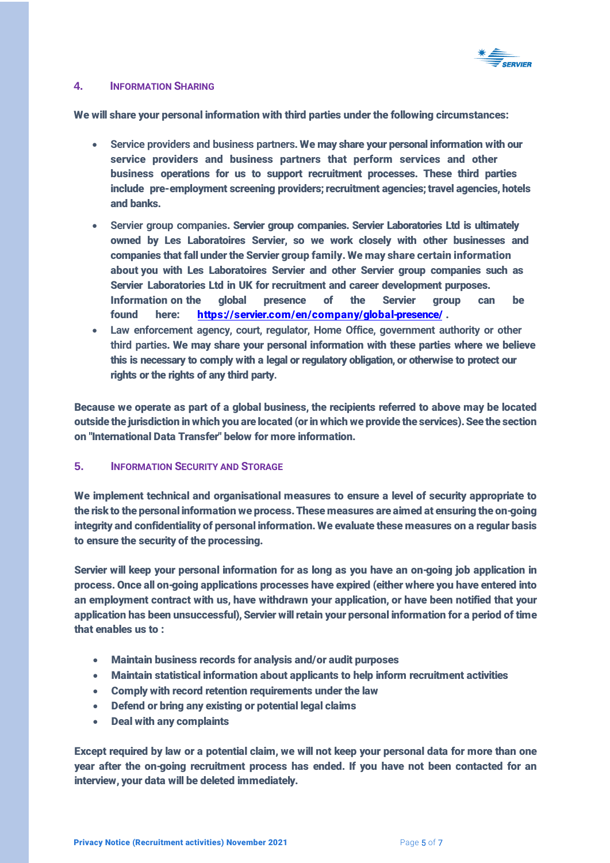

#### **4. INFORMATION SHARING**

We will share your personal information with third parties under the following circumstances:

- **Service providers and business partners**. We may share your personal information with our service providers and business partners that perform services and other business operations for us to support recruitment processes. These third parties include pre-employment screening providers; recruitment agencies; travel agencies, hotels and banks.
- **Servier group companies**. Servier group companies. Servier Laboratories Ltd is ultimately owned by Les Laboratoires Servier, so we work closely with other businesses and companies that fall under the Servier group family. We may share certain information about you with Les Laboratoires Servier and other Servier group companies such as Servier Laboratories Ltd in UK for recruitment and career development purposes. Information on [the global presence of](https://servier.com/en/company/global-presence/) the Servier group can be found here: https://servier.com/en/company/global-presence/ .
- **Law enforcement agency, court, regulator, Home Office, government authority or other third parties**. We may share your personal information with these parties where we believe this is necessary to comply with a legal or regulatory obligation, or otherwise to protect our rights or the rights of any third party**.**

Because we operate as part of a global business, the recipients referred to above may be located outside the jurisdiction in which you are located (or in which we provide the services). See the section on "International Data Transfer" below for more information.

## **5. INFORMATION SECURITY AND STORAGE**

We implement technical and organisational measures to ensure a level of security appropriate to the risk to the personal information we process. These measures are aimed at ensuring the on-going integrity and confidentiality of personal information. We evaluate these measures on a regular basis to ensure the security of the processing.

Servier will keep your personal information for as long as you have an on-going job application in process. Once all on-going applications processes have expired (either where you have entered into an employment contract with us, have withdrawn your application, or have been notified that your application has been unsuccessful), Servier will retain your personal information for a period of time that enables us to :

- Maintain business records for analysis and/or audit purposes
- Maintain statistical information about applicants to help inform recruitment activities
- Comply with record retention requirements under the law
- Defend or bring any existing or potential legal claims
- Deal with any complaints

Except required by law or a potential claim, we will not keep your personal data for more than one year after the on-going recruitment process has ended. If you have not been contacted for an interview, your data will be deleted immediately.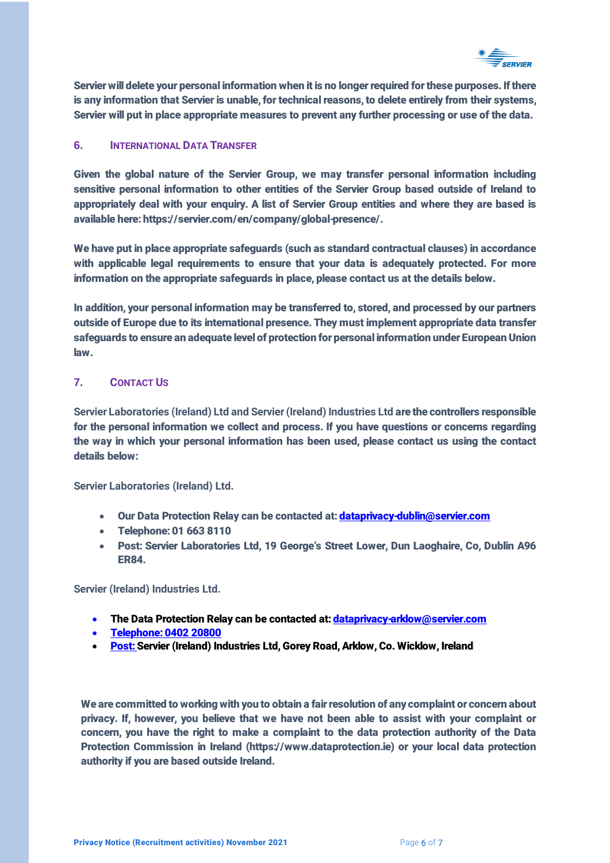

Servier will delete your personal information when it is no longer required for these purposes. If there is any information that Servier is unable, for technical reasons, to delete entirely from their systems, Servier will put in place appropriate measures to prevent any further processing or use of the data.

# **6. INTERNATIONAL DATA TRANSFER**

Given the global nature of the Servier Group, we may transfer personal information including sensitive personal information to other entities of the Servier Group based outside of Ireland to appropriately deal with your enquiry. A list of Servier Group entities and where they are based is available here: https://servier.com/en/company/global-presence/.

We have put in place appropriate safeguards (such as standard contractual clauses) in accordance with applicable legal requirements to ensure that your data is adequately protected. For more information on the appropriate safeguards in place, please contact us at the details below.

In addition, your personal information may be transferred to, stored, and processed by our partners outside of Europe due to its international presence. They must implement appropriate data transfer safeguards to ensure an adequate level of protection for personal information under European Union law.

## **7. CONTACT US**

**Servier Laboratories (Ireland) Ltd and Servier (Ireland) Industries Ltd** are the controllers responsible for the personal information we collect and process. If you have questions or concerns regarding the way in which your personal information has been used, please contact us using the contact details below:

**Servier Laboratories (Ireland) Ltd.**

- Our Data Protection Relay can be contacted at[: dataprivacy-dublin@servier.com](mailto:dataprivacy-dublin@servier.com)
- Telephone: 01 663 8110
- Post: Servier Laboratories Ltd, 19 George's Street Lower, Dun Laoghaire, Co, Dublin A96 ER84.

**Servier (Ireland) Industries Ltd.** 

- The Data Protection Relay can be contacted at: *dataprivacy-arklow@servier.com*
- Telephone: 0402 20800
- Post: Servier (Ireland) Industries Ltd, Gorey Road, Arklow, Co. Wicklow, Ireland

We are committed to working with you to obtain a fair resolution of any complaint or concern about privacy. If, however, you believe that we have not been able to assist with your complaint or concern, you have the right to make a complaint to the data protection authority of the Data Protection Commission in Ireland (https://www.dataprotection.ie) or your local data protection authority if you are based outside Ireland.